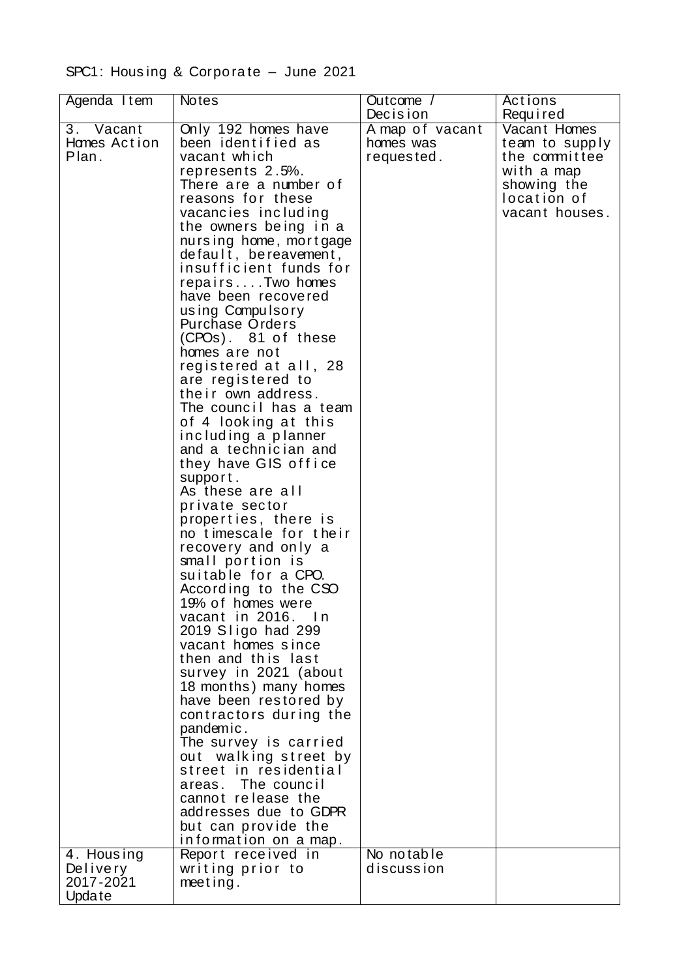## SPC1: Housing & Corporate - June 2021

| Agenda Item  | <b>Notes</b>                                    | Outcome /       | Actions        |
|--------------|-------------------------------------------------|-----------------|----------------|
|              |                                                 | Decision        | Required       |
| 3. Vacant    | Only 192 homes have                             | A map of vacant | Vacant Homes   |
| Hames Action | been identified as                              | homes was       | team to supply |
| Plan.        | vacant which                                    | requested.      | the committee  |
|              | represents 2.5%.                                |                 | with a map     |
|              | There are a number of                           |                 | showing the    |
|              | reasons for these                               |                 | location of    |
|              | vacancies including                             |                 | vacant houses. |
|              | the owners being in a<br>nursing home, mortgage |                 |                |
|              | default, bereavement,                           |                 |                |
|              | insufficient funds for                          |                 |                |
|              | repairsTwo homes                                |                 |                |
|              | have been recovered                             |                 |                |
|              | using Compulsory                                |                 |                |
|              | <b>Purchase Orders</b>                          |                 |                |
|              | (CPOs). 81 of these                             |                 |                |
|              | homes are not                                   |                 |                |
|              | registered at all, 28                           |                 |                |
|              | are registered to<br>their own address.         |                 |                |
|              | The council has a team                          |                 |                |
|              | of 4 looking at this                            |                 |                |
|              | including a planner                             |                 |                |
|              | and a technician and                            |                 |                |
|              | they have GIS office                            |                 |                |
|              | support.                                        |                 |                |
|              | As these are all                                |                 |                |
|              | private sector                                  |                 |                |
|              | properties, there is                            |                 |                |
|              | no timescale for their                          |                 |                |
|              | recovery and only a<br>small portion is         |                 |                |
|              | suitable for a CPO.                             |                 |                |
|              | According to the CSO                            |                 |                |
|              | 19% of homes were                               |                 |                |
|              | vacant in 2016. In                              |                 |                |
|              | 2019 Sligo had 299                              |                 |                |
|              | vacant homes since                              |                 |                |
|              | then and this last                              |                 |                |
|              | survey in 2021 (about                           |                 |                |
|              | 18 months) many homes<br>have been restored by  |                 |                |
|              | contractors during the                          |                 |                |
|              | pandemic.                                       |                 |                |
|              | The survey is carried                           |                 |                |
|              | out walking street by                           |                 |                |
|              | street in residential                           |                 |                |
|              | areas. The council                              |                 |                |
|              | cannot release the                              |                 |                |
|              | addresses due to GDPR                           |                 |                |
|              | but can provide the                             |                 |                |
| 4. Housing   | information on a map.<br>Report received in     | No notable      |                |
| Delivery     | writing prior to                                | discussion      |                |
| 2017-2021    | meeting.                                        |                 |                |
| Update       |                                                 |                 |                |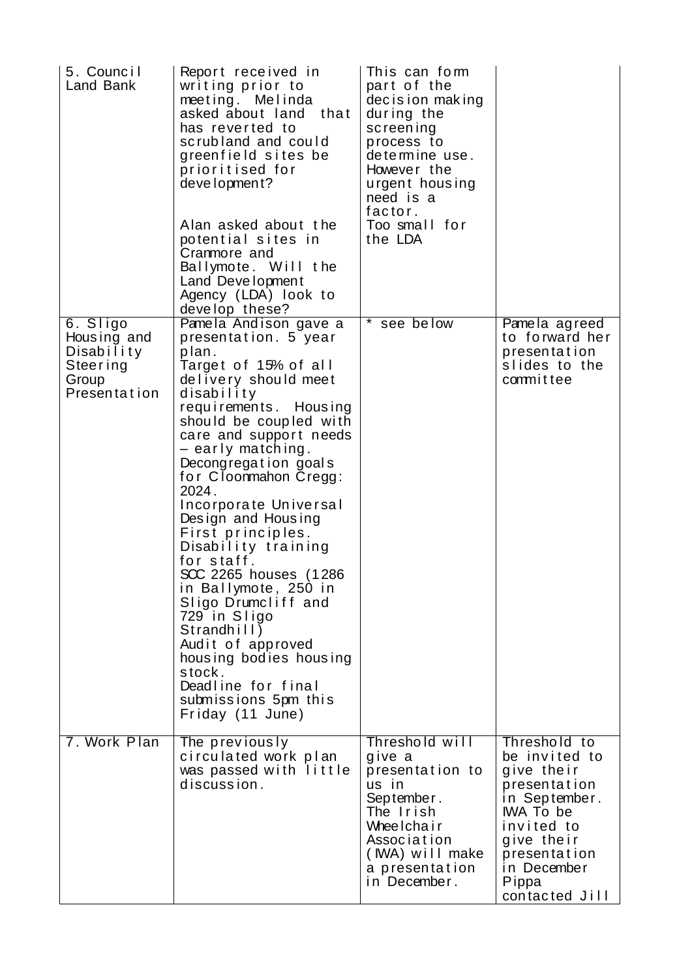| 5. Council<br>Land Bank                                                    | Report received in<br>writing prior to<br>meeting. Melinda<br>asked about land<br>that<br>has reverted to<br>scrubland and could<br>greenfield sites be<br>prioritised for<br>development?<br>Alan asked about the<br>potential sites in<br>Cranmore and<br>Ballymote. Will the<br>Land Development<br>Agency (LDA) look to<br>develop these?                                                                                                                                                                                                                                                                              | This can form<br>part of the<br>decision making<br>during the<br>screening<br>process to<br>determine use.<br>However the<br>urgent housing<br>need is a<br>factor.<br>Too small for<br>the LDA |                                                                                                                                                                                        |
|----------------------------------------------------------------------------|----------------------------------------------------------------------------------------------------------------------------------------------------------------------------------------------------------------------------------------------------------------------------------------------------------------------------------------------------------------------------------------------------------------------------------------------------------------------------------------------------------------------------------------------------------------------------------------------------------------------------|-------------------------------------------------------------------------------------------------------------------------------------------------------------------------------------------------|----------------------------------------------------------------------------------------------------------------------------------------------------------------------------------------|
| 6. Sligo<br>Housing and<br>Disability<br>Steering<br>Group<br>Presentation | Pamela Andison gave a<br>presentation. 5 year<br>plan.<br>Target of 15% of all<br>delivery should meet<br>disability<br>requirements. Housing<br>should be coupled with<br>care and support needs<br>- early matching.<br>Decongregation goals<br>for Cloonmahon Cregg:<br>2024.<br>Incorporate Universal<br>Design and Housing<br>First principles.<br>Disability training<br>for staff.<br>SCC 2265 houses (1286<br>in Ballymote, 250 in<br>Sligo Drumcliff and<br>729 in Sligo<br>Strandhill<br>Audit of approved<br>housing bodies housing<br>stock.<br>Deadline for final<br>submissions 5pm this<br>Friday (11 June) | *<br>see below                                                                                                                                                                                  | Pamela agreed<br>to forward her<br>presentation<br>slides to the<br>committee                                                                                                          |
| 7. Work Plan                                                               | The previously<br>circulated work plan<br>was passed with little<br>discussion.                                                                                                                                                                                                                                                                                                                                                                                                                                                                                                                                            | Threshold will<br>give a<br>presentation to<br>us in<br>September.<br>The Irish<br>Wheelchair<br>Association<br>(IWA) will make<br>a presentation<br>in December.                               | Threshold to<br>be invited to<br>give their<br>presentation<br>in September.<br><b>IWA To be</b><br>invited to<br>give their<br>presentation<br>in December<br>Pippa<br>contacted Jill |